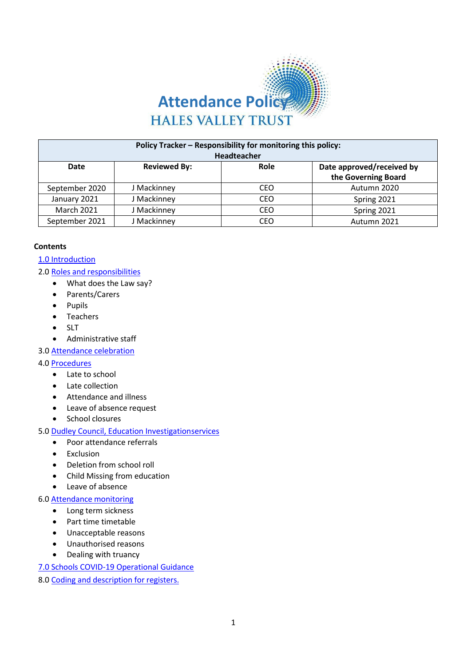

| Policy Tracker - Responsibility for monitoring this policy:<br>Headteacher |                     |      |                           |  |
|----------------------------------------------------------------------------|---------------------|------|---------------------------|--|
| Date                                                                       | <b>Reviewed By:</b> | Role | Date approved/received by |  |
|                                                                            |                     |      | the Governing Board       |  |
| September 2020                                                             | J Mackinney         | CEO  | Autumn 2020               |  |
| January 2021                                                               | J Mackinney         | CEO  | Spring 2021               |  |
| <b>March 2021</b>                                                          | J Mackinney         | CEO  | Spring 2021               |  |
| September 2021                                                             | J Mackinney         | CEO  | Autumn 2021               |  |

#### **Contents**

## 1.0 [Introduction](#page-1-0)

- 2.0 Roles and [responsibilities](#page-2-0)
	- What does the Law say?
	- Parents/Carers
	- Pupils
	- Teachers
	- SLT
	- Administrative staff
- 3.0 [Attendance](#page-4-0) celebration

#### 4.0 [Procedures](#page-4-1)

- Late to school
- Late collection
- Attendance and illness
- Leave of absence request
- School closures

## 5.0 [Dudley Council, Education Investigationservices](#page-6-0)

- Poor attendance referrals
- Exclusion
- Deletion from school roll
- Child Missing from education
- Leave of absence

# 6.0 [Attendance](#page-9-0) monitoring

- Long term sickness
- Part time timetable
- Unacceptable reasons
- Unauthorised reasons
- Dealing with truancy
- [7.0 Schools COVID-19 Operational Guidance](#page-10-0)
- 8.0 Coding and [description](#page-13-0) for registers.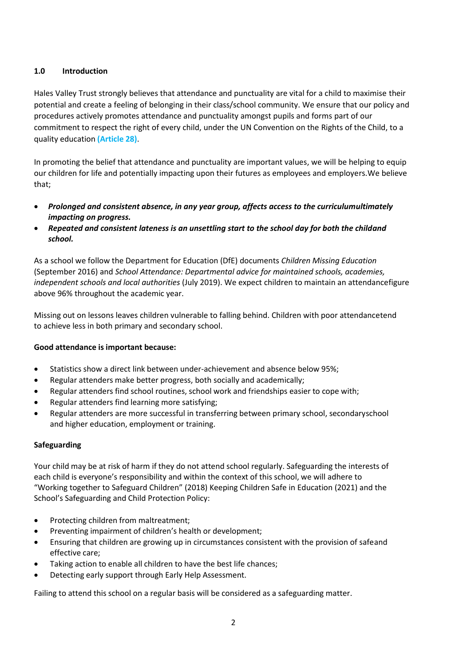# <span id="page-1-0"></span>**1.0 Introduction**

Hales Valley Trust strongly believes that attendance and punctuality are vital for a child to maximise their potential and create a feeling of belonging in their class/school community. We ensure that our policy and procedures actively promotes attendance and punctuality amongst pupils and forms part of our commitment to respect the right of every child, under the UN Convention on the Rights of the Child, to a quality education **(Article 28)**.

In promoting the belief that attendance and punctuality are important values, we will be helping to equip our children for life and potentially impacting upon their futures as employees and employers.We believe that;

- *Prolonged and consistent absence, in any year group, affects access to the curriculumultimately impacting on progress.*
- *Repeated and consistent lateness is an unsettling start to the school day for both the childand school.*

As a school we follow the Department for Education (DfE) documents *Children Missing Education* (September 2016) and *School Attendance: Departmental advice for maintained schools, academies, independent schools and local authorities* (July 2019). We expect children to maintain an attendancefigure above 96% throughout the academic year.

Missing out on lessons leaves children vulnerable to falling behind. Children with poor attendancetend to achieve less in both primary and secondary school.

## **Good attendance isimportant because:**

- Statistics show a direct link between under-achievement and absence below 95%;
- Regular attenders make better progress, both socially and academically;
- Regular attenders find school routines, school work and friendships easier to cope with;
- Regular attenders find learning more satisfying;
- Regular attenders are more successful in transferring between primary school, secondaryschool and higher education, employment or training.

#### **Safeguarding**

Your child may be at risk of harm if they do not attend school regularly. Safeguarding the interests of each child is everyone's responsibility and within the context of this school, we will adhere to "Working together to Safeguard Children" (2018) Keeping Children Safe in Education (2021) and the School's Safeguarding and Child Protection Policy:

- Protecting children from maltreatment;
- Preventing impairment of children's health or development;
- Ensuring that children are growing up in circumstances consistent with the provision of safeand effective care;
- Taking action to enable all children to have the best life chances;
- Detecting early support through Early Help Assessment.

Failing to attend this school on a regular basis will be considered as a safeguarding matter.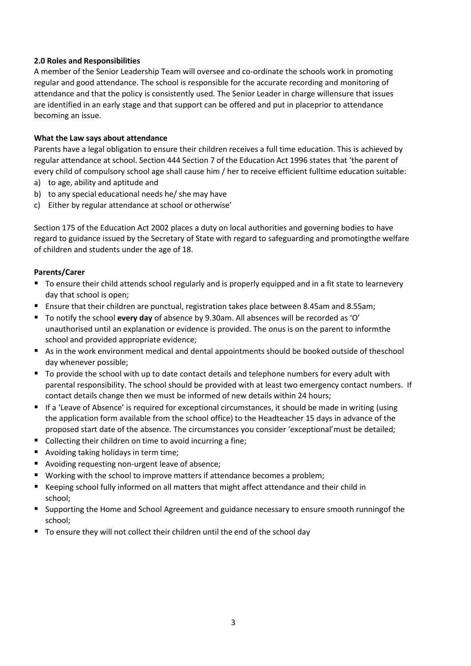## <span id="page-2-0"></span>**2.0 Roles and Responsibilities**

A member of the Senior Leadership Team will oversee and co-ordinate the schools work in promoting regular and good attendance. The school is responsible for the accurate recording and monitoring of attendance and that the policy is consistently used. The Senior Leader in charge willensure that issues are identified in an early stage and that support can be offered and put in placeprior to attendance becoming an issue.

### **What the Law says about attendance**

Parents have a legal obligation to ensure their children receives a full time education. This is achieved by regular attendance at school. Section 444 Section 7 of the Education Act 1996 states that 'the parent of every child of compulsory school age shall cause him / her to receive efficient fulltime education suitable:

- a) to age, ability and aptitude and
- b) to any special educational needs he/ she may have
- c) Either by regular attendance at school or otherwise'

Section 175 of the Education Act 2002 places a duty on local authorities and governing bodies to have regard to guidance issued by the Secretary of State with regard to safeguarding and promotingthe welfare of children and students under the age of 18.

### **Parents/Carer**

- To ensure their child attends school regularly and is properly equipped and in a fit state to learnevery day that school is open;
- Ensure that their children are punctual, registration takes place between 8.45am and 8.55am;
- To notify the school **every day** of absence by 9.30am. All absences will be recorded as 'O' unauthorised until an explanation or evidence is provided. The onus is on the parent to informthe school and provided appropriate evidence;
- As in the work environment medical and dental appointments should be booked outside of theschool day whenever possible;
- To provide the school with up to date contact details and telephone numbers for every adult with parental responsibility. The school should be provided with at least two emergency contact numbers. If contact details change then we must be informed of new details within 24 hours;
- If a 'Leave of Absence' is required for exceptional circumstances, it should be made in writing (using the application form available from the school office) to the Headteacher 15 days in advance of the proposed start date of the absence. The circumstances you consider 'exceptional'must be detailed;
- Collecting their children on time to avoid incurring a fine;
- Avoiding taking holidays in term time;
- Avoiding requesting non-urgent leave of absence;
- Working with the school to improve matters if attendance becomes a problem;
- Keeping school fully informed on all matters that might affect attendance and their child in school;
- Supporting the Home and School Agreement and guidance necessary to ensure smooth runningof the school;
- To ensure they will not collect their children until the end of the school day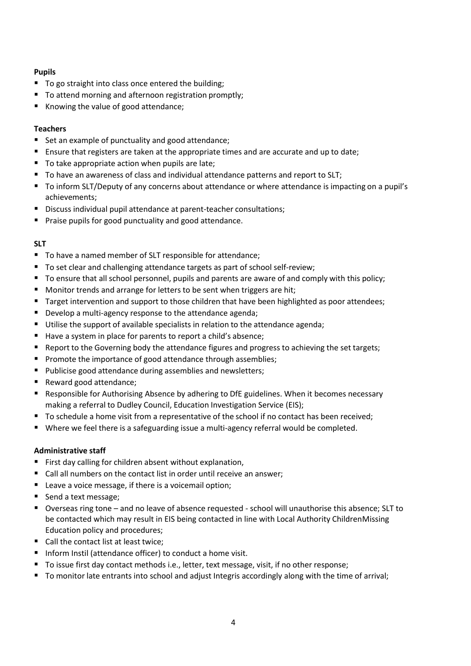## **Pupils**

- To go straight into class once entered the building;
- To attend morning and afternoon registration promptly;
- Knowing the value of good attendance;

### **Teachers**

- Set an example of punctuality and good attendance;
- Ensure that registers are taken at the appropriate times and are accurate and up to date;
- To take appropriate action when pupils are late;
- To have an awareness of class and individual attendance patterns and report to SLT;
- To inform SLT/Deputy of any concerns about attendance or where attendance is impacting on a pupil's achievements;
- Discuss individual pupil attendance at parent-teacher consultations;
- **Praise pupils for good punctuality and good attendance.**

### **SLT**

- To have a named member of SLT responsible for attendance;
- To set clear and challenging attendance targets as part of school self-review;
- To ensure that all school personnel, pupils and parents are aware of and comply with this policy;
- Monitor trends and arrange for letters to be sent when triggers are hit;
- Target intervention and support to those children that have been highlighted as poor attendees;
- Develop a multi-agency response to the attendance agenda;
- Utilise the support of available specialists in relation to the attendance agenda;
- Have a system in place for parents to report a child's absence;
- Report to the Governing body the attendance figures and progress to achieving the set targets;
- **Promote the importance of good attendance through assemblies;**
- Publicise good attendance during assemblies and newsletters;
- Reward good attendance;
- **Responsible for Authorising Absence by adhering to DfE guidelines. When it becomes necessary** making a referral to Dudley Council, Education Investigation Service (EIS);
- To schedule a home visit from a representative of the school if no contact has been received;
- **Where we feel there is a safeguarding issue a multi-agency referral would be completed.**

## **Administrative staff**

- **First day calling for children absent without explanation,**
- Call all numbers on the contact list in order until receive an answer;
- Leave a voice message, if there is a voicemail option;
- Send a text message;
- Overseas ring tone and no leave of absence requested school will unauthorise this absence; SLT to be contacted which may result in EIS being contacted in line with Local Authority ChildrenMissing Education policy and procedures;
- Call the contact list at least twice:
- Inform Instil (attendance officer) to conduct a home visit.
- To issue first day contact methods i.e., letter, text message, visit, if no other response;
- To monitor late entrants into school and adjust Integris accordingly along with the time of arrival;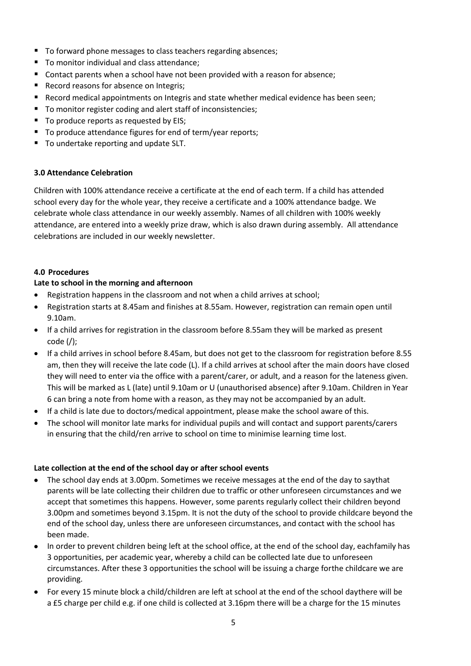- To forward phone messages to class teachers regarding absences;
- To monitor individual and class attendance;
- Contact parents when a school have not been provided with a reason for absence;
- Record reasons for absence on Integris;
- Record medical appointments on Integris and state whether medical evidence has been seen;
- To monitor register coding and alert staff of inconsistencies;
- To produce reports as requested by EIS;
- To produce attendance figures for end of term/year reports;
- To undertake reporting and update SLT.

# <span id="page-4-0"></span>**3.0 Attendance Celebration**

Children with 100% attendance receive a certificate at the end of each term. If a child has attended school every day for the whole year, they receive a certificate and a 100% attendance badge. We celebrate whole class attendance in our weekly assembly. Names of all children with 100% weekly attendance, are entered into a weekly prize draw, which is also drawn during assembly. All attendance celebrations are included in our weekly newsletter.

## <span id="page-4-1"></span>**4.0 Procedures**

## **Late to school in the morning and afternoon**

- Registration happens in the classroom and not when a child arrives at school;
- Registration starts at 8.45am and finishes at 8.55am. However, registration can remain open until 9.10am.
- If a child arrives for registration in the classroom before 8.55am they will be marked as present code (/);
- If a child arrives in school before 8.45am, but does not get to the classroom for registration before 8.55 am, then they will receive the late code (L). If a child arrives at school after the main doors have closed they will need to enter via the office with a parent/carer, or adult, and a reason for the lateness given. This will be marked as L (late) until 9.10am or U (unauthorised absence) after 9.10am. Children in Year 6 can bring a note from home with a reason, as they may not be accompanied by an adult.
- If a child is late due to doctors/medical appointment, please make the school aware of this.
- The school will monitor late marks for individual pupils and will contact and support parents/carers in ensuring that the child/ren arrive to school on time to minimise learning time lost.

## **Late collection at the end of the school day or after school events**

- The school day ends at 3.00pm. Sometimes we receive messages at the end of the day to saythat parents will be late collecting their children due to traffic or other unforeseen circumstances and we accept that sometimes this happens. However, some parents regularly collect their children beyond 3.00pm and sometimes beyond 3.15pm. It is not the duty of the school to provide childcare beyond the end of the school day, unless there are unforeseen circumstances, and contact with the school has been made.
- In order to prevent children being left at the school office, at the end of the school day, eachfamily has 3 opportunities, per academic year, whereby a child can be collected late due to unforeseen circumstances. After these 3 opportunities the school will be issuing a charge forthe childcare we are providing.
- For every 15 minute block a child/children are left at school at the end of the school daythere will be a £5 charge per child e.g. if one child is collected at 3.16pm there will be a charge for the 15 minutes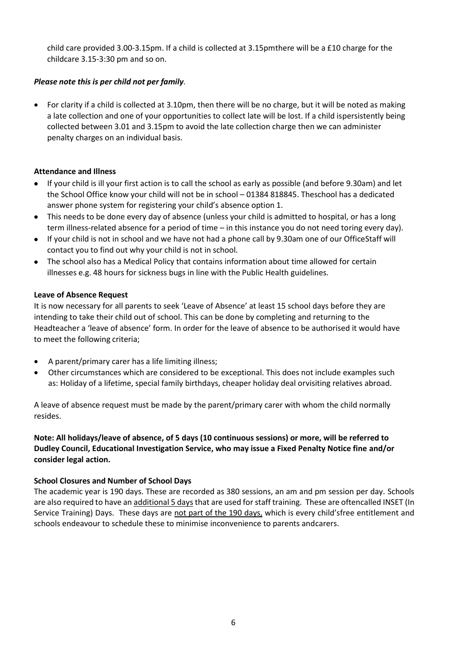child care provided 3.00-3.15pm. If a child is collected at 3.15pmthere will be a £10 charge for the childcare 3.15-3:30 pm and so on.

## *Please note this is per child not per family.*

 For clarity if a child is collected at 3.10pm, then there will be no charge, but it will be noted as making a late collection and one of your opportunities to collect late will be lost. If a child ispersistently being collected between 3.01 and 3.15pm to avoid the late collection charge then we can administer penalty charges on an individual basis.

# **Attendance and Illness**

- If your child is ill your first action is to call the school as early as possible (and before 9.30am) and let the School Office know your child will not be in school – 01384 818845. Theschool has a dedicated answer phone system for registering your child's absence option 1.
- This needs to be done every day of absence (unless your child is admitted to hospital, or has a long term illness-related absence for a period of time – in this instance you do not need toring every day).
- If your child is not in school and we have not had a phone call by 9.30am one of our OfficeStaff will contact you to find out why your child is not in school.
- The school also has a Medical Policy that contains information about time allowed for certain illnesses e.g. 48 hours for sickness bugs in line with the Public Health guidelines.

# **Leave of Absence Request**

It is now necessary for all parents to seek 'Leave of Absence' at least 15 school days before they are intending to take their child out of school. This can be done by completing and returning to the Headteacher a 'leave of absence' form. In order for the leave of absence to be authorised it would have to meet the following criteria;

- A parent/primary carer has a life limiting illness;
- Other circumstances which are considered to be exceptional. This does not include examples such as: Holiday of a lifetime, special family birthdays, cheaper holiday deal orvisiting relatives abroad.

A leave of absence request must be made by the parent/primary carer with whom the child normally resides.

# **Note: All holidays/leave of absence, of 5 days (10 continuous sessions) or more, will be referred to Dudley Council, Educational Investigation Service, who may issue a Fixed Penalty Notice fine and/or consider legal action.**

# **School Closures and Number of School Days**

The academic year is 190 days. These are recorded as 380 sessions, an am and pm session per day. Schools are also required to have an additional 5 days that are used for staff training. These are oftencalled INSET (In Service Training) Days. These days are not part of the 190 days, which is every child'sfree entitlement and schools endeavour to schedule these to minimise inconvenience to parents andcarers.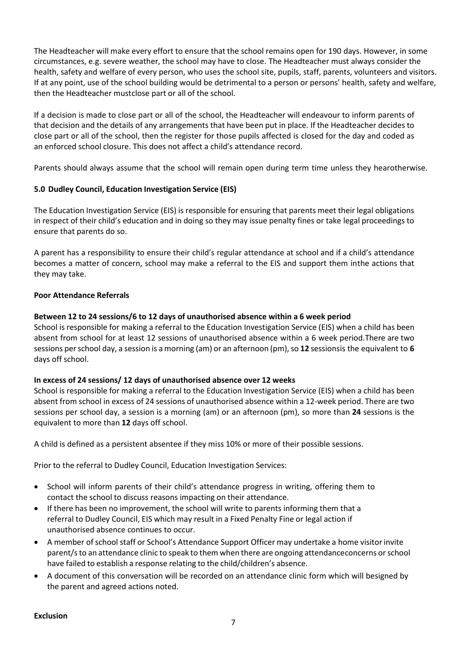The Headteacher will make every effort to ensure that the school remains open for 190 days. However, in some circumstances, e.g. severe weather, the school may have to close. The Headteacher must always consider the health, safety and welfare of every person, who uses the school site, pupils, staff, parents, volunteers and visitors. If at any point, use of the school building would be detrimental to a person or persons' health, safety and welfare, then the Headteacher mustclose part or all of the school.

If a decision is made to close part or all of the school, the Headteacher will endeavour to inform parents of that decision and the details of any arrangements that have been put in place. If the Headteacher decides to close part or all of the school, then the register for those pupils affected is closed for the day and coded as an enforced school closure. This does not affect a child's attendance record.

Parents should always assume that the school will remain open during term time unless they hearotherwise.

## <span id="page-6-0"></span>**5.0 Dudley Council, Education Investigation Service (EIS)**

The Education Investigation Service (EIS) is responsible for ensuring that parents meet their legal obligations in respect of their child's education and in doing so they may issue penalty fines or take legal proceedings to ensure that parents do so.

A parent has a responsibility to ensure their child's regular attendance at school and if a child's attendance becomes a matter of concern, school may make a referral to the EIS and support them inthe actions that they may take.

### **Poor Attendance Referrals**

### **Between 12 to 24 sessions/6 to 12 days of unauthorised absence within a 6 week period**

School is responsible for making a referral to the Education Investigation Service (EIS) when a child has been absent from school for at least 12 sessions of unauthorised absence within a 6 week period.There are two sessions per school day, a session is a morning (am) or an afternoon (pm), so 12 sessionsis the equivalent to 6 days off school.

#### **In excess of 24 sessions/ 12 days of unauthorised absence over 12 weeks**

School is responsible for making a referral to the Education Investigation Service (EIS) when a child has been absent from school in excess of 24 sessions of unauthorised absence within a 12-week period. There are two sessions per school day, a session is a morning (am) or an afternoon (pm), so more than **24** sessions is the equivalent to more than **12** days off school.

A child is defined as a persistent absentee if they miss 10% or more of their possible sessions.

Prior to the referral to Dudley Council, Education Investigation Services:

- School will inform parents of their child's attendance progress in writing, offering them to contact the school to discuss reasons impacting on their attendance.
- If there has been no improvement, the school will write to parents informing them that a referral to Dudley Council, EIS which may result in a Fixed Penalty Fine or legal action if unauthorised absence continues to occur.
- A member ofschool staff or School's Attendance Support Officer may undertake a home visitorinvite parent/s to an attendance clinic to speak to them when there are ongoing attendanceconcerns or school have failed to establish a response relating to the child/children's absence.
- A document of this conversation will be recorded on an attendance clinic form which will besigned by the parent and agreed actions noted.

#### **Exclusion**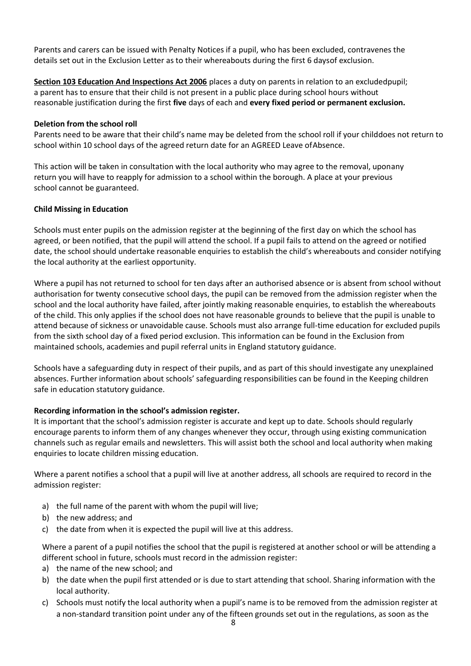Parents and carers can be issued with Penalty Notices if a pupil, who has been excluded, contravenes the details set out in the Exclusion Letter as to their whereabouts during the first 6 daysof exclusion.

**Section 103 Education And Inspections Act 2006** places a duty on parents in relation to an excludedpupil; a parent has to ensure that their child is not present in a public place during school hours without reasonable justification during the first **five** days of each and **every fixed period or permanent exclusion.**

### **Deletion from the school roll**

Parents need to be aware that their child's name may be deleted from the school roll if your childdoes not return to school within 10 school days of the agreed return date for an AGREED Leave of Absence.

This action will be taken in consultation with the local authority who may agree to the removal, uponany return you will have to reapply for admission to a school within the borough. A place at your previous school cannot be guaranteed.

### **Child Missing in Education**

Schools must enter pupils on the admission register at the beginning of the first day on which the school has agreed, or been notified, that the pupil will attend the school. If a pupil fails to attend on the agreed or notified date, the school should undertake reasonable enquiries to establish the child's whereabouts and consider notifying the local authority at the earliest opportunity.

Where a pupil has not returned to school for ten days after an authorised absence or is absent from school without authorisation for twenty consecutive school days, the pupil can be removed from the admission register when the school and the local authority have failed, after jointly making reasonable enquiries, to establish the whereabouts of the child. This only applies if the school does not have reasonable grounds to believe that the pupil is unable to attend because of sickness or unavoidable cause. Schools must also arrange full-time education for excluded pupils from the sixth school day of a fixed period exclusion. This information can be found in the Exclusion from maintained schools, academies and pupil referral units in England statutory guidance.

Schools have a safeguarding duty in respect of their pupils, and as part of this should investigate any unexplained absences. Further information about schools' safeguarding responsibilities can be found in the Keeping children safe in education statutory guidance.

#### **Recording information in the school's admission register.**

It is important that the school's admission register is accurate and kept up to date. Schools should regularly encourage parents to inform them of any changes whenever they occur, through using existing communication channels such as regular emails and newsletters. This will assist both the school and local authority when making enquiries to locate children missing education.

Where a parent notifies a school that a pupil will live at another address, all schools are required to record in the admission register:

- a) the full name of the parent with whom the pupil will live;
- b) the new address; and
- c) the date from when it is expected the pupil will live at this address.

Where a parent of a pupil notifies the school that the pupil is registered at another school or will be attending a different school in future, schools must record in the admission register:

- a) the name of the new school; and
- b) the date when the pupil first attended or is due to start attending that school. Sharing information with the local authority.
- c) Schools must notify the local authority when a pupil's name is to be removed from the admission register at a non-standard transition point under any of the fifteen grounds set out in the regulations, as soon as the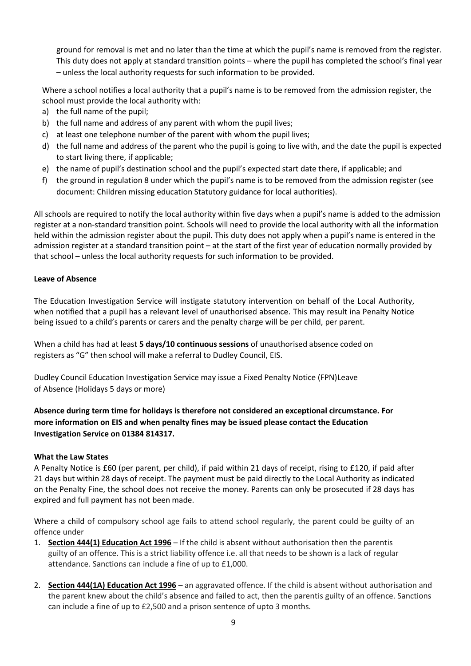ground for removal is met and no later than the time at which the pupil's name is removed from the register. This duty does not apply at standard transition points – where the pupil has completed the school's final year – unless the local authority requests for such information to be provided.

Where a school notifies a local authority that a pupil's name is to be removed from the admission register, the school must provide the local authority with:

- a) the full name of the pupil;
- b) the full name and address of any parent with whom the pupil lives;
- c) at least one telephone number of the parent with whom the pupil lives;
- d) the full name and address of the parent who the pupil is going to live with, and the date the pupil is expected to start living there, if applicable;
- e) the name of pupil's destination school and the pupil's expected start date there, if applicable; and
- f) the ground in regulation 8 under which the pupil's name is to be removed from the admission register (see document: Children missing education Statutory guidance for local authorities).

All schools are required to notify the local authority within five days when a pupil's name is added to the admission register at a non-standard transition point. Schools will need to provide the local authority with all the information held within the admission register about the pupil. This duty does not apply when a pupil's name is entered in the admission register at a standard transition point – at the start of the first year of education normally provided by that school – unless the local authority requests for such information to be provided.

## **Leave of Absence**

The Education Investigation Service will instigate statutory intervention on behalf of the Local Authority, when notified that a pupil has a relevant level of unauthorised absence. This may result ina Penalty Notice being issued to a child's parents or carers and the penalty charge will be per child, per parent.

When a child has had at least **5 days/10 continuous sessions** of unauthorised absence coded on registers as "G" then school will make a referral to Dudley Council, EIS.

Dudley Council Education Investigation Service may issue a Fixed Penalty Notice (FPN)Leave of Absence (Holidays 5 days or more)

**Absence during term time for holidays is therefore not considered an exceptional circumstance. For more information on EIS and when penalty fines may be issued please contact the Education Investigation Service on 01384 814317.**

#### **What the Law States**

A Penalty Notice is £60 (per parent, per child), if paid within 21 days of receipt, rising to £120, if paid after 21 days but within 28 days of receipt. The payment must be paid directly to the Local Authority as indicated on the Penalty Fine, the school does not receive the money. Parents can only be prosecuted if 28 days has expired and full payment has not been made.

Where a child of compulsory school age fails to attend school regularly, the parent could be guilty of an offence under

- 1. **[Section 444\(1\) Education Act 1996](http://www.legislation.gov.uk/ukpga/1996/56/section/444)** If the child is absent without authorisation then the parentis guilty of an offence. This is a strict liability offence i.e. all that needs to be shown is a lack of regular attendance. Sanctions can include a fine of up to £1,000.
- 2. **Section 444(1A) [Education](http://www.legislation.gov.uk/ukpga/1996/56/section/444) Act 1996** an aggravated offence. If the child is absent without authorisation and the parent knew about the child's absence and failed to act, then the parentis guilty of an offence. Sanctions can include a fine of up to £2,500 and a prison sentence of upto 3 months.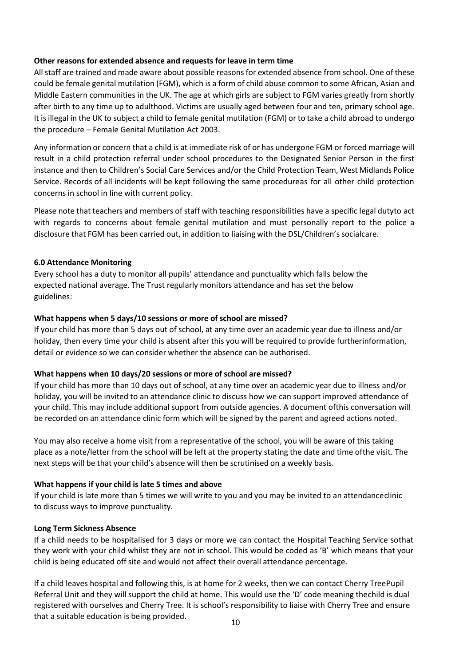### **Other reasons for extended absence and requests for leave in term time**

All staff are trained and made aware about possible reasons for extended absence from school. One of these could be female genital mutilation (FGM), which is a form of child abuse common to some African, Asian and Middle Eastern communities in the UK. The age at which girls are subject to FGM varies greatly from shortly after birth to any time up to adulthood. Victims are usually aged between four and ten, primary school age. It is illegal in the UK to subject a child to female genital mutilation (FGM) or to take a child abroad to undergo the procedure – Female Genital Mutilation Act 2003.

Any information or concern that a child is at immediate risk of or has undergone FGM or forced marriage will result in a child protection referral under school procedures to the Designated Senior Person in the first instance and then to Children's Social Care Services and/or the Child Protection Team, West Midlands Police Service. Records of all incidents will be kept following the same procedureas for all other child protection concerns in school in line with current policy.

Please note that teachers and members of staff with teaching responsibilities have a specific legal dutyto act with regards to concerns about female genital mutilation and must personally report to the police a disclosure that FGM has been carried out, in addition to liaising with the DSL/Children's socialcare.

### <span id="page-9-0"></span>**6.0 Attendance Monitoring**

Every school has a duty to monitor all pupils' attendance and punctuality which falls below the expected national average. The Trust regularly monitors attendance and has set the below guidelines:

### **What happens when 5 days/10 sessions or more of school are missed?**

If your child has more than 5 days out of school, at any time over an academic year due to illness and/or holiday, then every time your child is absent after this you will be required to provide furtherinformation, detail or evidence so we can consider whether the absence can be authorised.

## **What happens when 10 days/20 sessions or more of school are missed?**

If your child has more than 10 days out of school, at any time over an academic year due to illness and/or holiday, you will be invited to an attendance clinic to discuss how we can support improved attendance of your child. This may include additional support from outside agencies. A document ofthis conversation will be recorded on an attendance clinic form which will be signed by the parent and agreed actions noted.

You may also receive a home visit from a representative of the school, you will be aware of this taking place as a note/letter from the school will be left at the property stating the date and time ofthe visit. The next steps will be that your child's absence will then be scrutinised on a weekly basis.

## **What happens if your child is late 5 times and above**

If your child is late more than 5 times we will write to you and you may be invited to an attendanceclinic to discuss ways to improve punctuality.

#### **Long Term Sickness Absence**

If a child needs to be hospitalised for 3 days or more we can contact the Hospital Teaching Service sothat they work with your child whilst they are not in school. This would be coded as 'B' which means that your child is being educated off site and would not affect their overall attendance percentage.

If a child leaves hospital and following this, is at home for 2 weeks, then we can contact Cherry TreePupil Referral Unit and they will support the child at home. This would use the 'D' code meaning thechild is dual registered with ourselves and Cherry Tree. It is school's responsibility to liaise with Cherry Tree and ensure that a suitable education is being provided.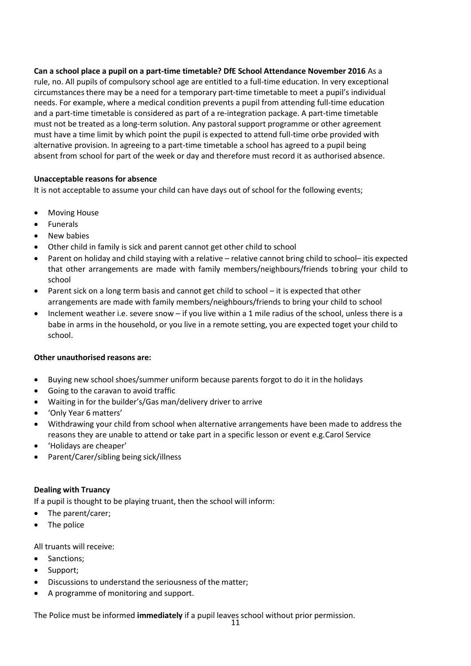**Can a school place a pupil on a part-time timetable? DfE School Attendance November 2016** As a rule, no. All pupils of compulsory school age are entitled to a full-time education. In very exceptional circumstances there may be a need for a temporary part-time timetable to meet a pupil's individual needs. For example, where a medical condition prevents a pupil from attending full-time education and a part-time timetable is considered as part of a re-integration package. A part-time timetable must not be treated as a long-term solution. Any pastoral support programme or other agreement must have a time limit by which point the pupil is expected to attend full-time orbe provided with alternative provision. In agreeing to a part-time timetable a school has agreed to a pupil being absent from school for part of the week or day and therefore must record it as authorised absence.

## **Unacceptable reasons for absence**

It is not acceptable to assume your child can have days out of school for the following events;

- Moving House
- Funerals
- New babies
- Other child in family is sick and parent cannot get other child to school
- Parent on holiday and child staying with a relative relative cannot bring child to school– itis expected that other arrangements are made with family members/neighbours/friends tobring your child to school
- Parent sick on a long term basis and cannot get child to school it is expected that other arrangements are made with family members/neighbours/friends to bring your child to school
- Inclement weather i.e. severe snow if you live within a 1 mile radius of the school, unless there is a babe in arms in the household, or you live in a remote setting, you are expected toget your child to school.

#### **Other unauthorised reasons are:**

- Buying new school shoes/summer uniform because parents forgot to do it in the holidays
- Going to the caravan to avoid traffic
- Waiting in for the builder's/Gas man/delivery driver to arrive
- 'Only Year 6 matters'
- Withdrawing your child from school when alternative arrangements have been made to address the reasons they are unable to attend or take part in a specific lesson or event e.g.Carol Service
- 'Holidays are cheaper'
- Parent/Carer/sibling being sick/illness

#### <span id="page-10-0"></span>**Dealing with Truancy**

If a pupil is thought to be playing truant, then the school will inform:

- The parent/carer;
- The police

All truants will receive:

- Sanctions;
- Support;
- Discussions to understand the seriousness of the matter;
- A programme of monitoring and support.

The Police must be informed **immediately** if a pupil leaves school without prior permission.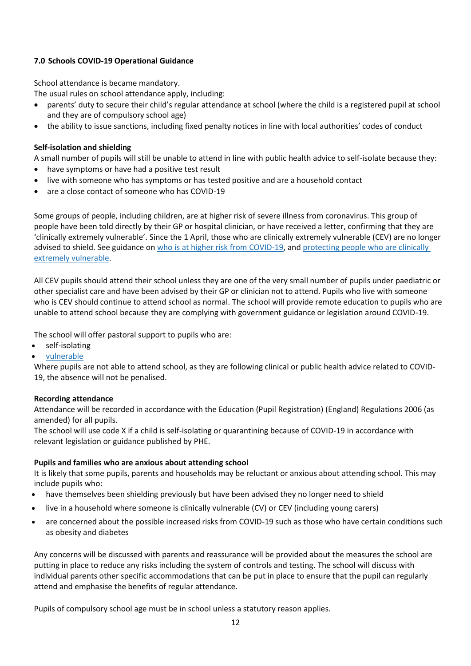# **7.0 Schools COVID-19 Operational Guidance**

School attendance is became mandatory.

The usual rules on school attendance apply, including:

- parents' duty to secure their child's regular attendance at school (where the child is a registered pupil at school and they are of compulsory school age)
- the ability to issue sanctions, including fixed penalty notices in line with local authorities' codes of conduct

# **Self-isolation and shielding**

A small number of pupils will still be unable to attend in line with public health advice to self-isolate because they:

- have symptoms or have had a positive test result
- live with someone who has symptoms or has tested positive and are a household contact
- are a close contact of someone who has COVID-19

Some groups of people, including children, are at higher risk of severe illness from coronavirus. This group of people have been told directly by their GP or hospital clinician, or have received a letter, confirming that they are 'clinically extremely vulnerable'. Since the 1 April, those who are clinically extremely vulnerable (CEV) are no longer advised to shield. See guidance on who is at higher risk from [COVID-19,](https://www.nhs.uk/conditions/coronavirus-covid-19/people-at-higher-risk/who-is-at-high-risk-from-coronavirus-clinically-extremely-vulnerable/) and [protecting](https://www.gov.uk/government/publications/guidance-on-shielding-and-protecting-extremely-vulnerable-persons-from-covid-19/guidance-on-shielding-and-protecting-extremely-vulnerable-persons-from-covid-19) people who are clinically extremely [vulnerable.](https://www.gov.uk/government/publications/guidance-on-shielding-and-protecting-extremely-vulnerable-persons-from-covid-19/guidance-on-shielding-and-protecting-extremely-vulnerable-persons-from-covid-19)

All CEV pupils should attend their school unless they are one of the very small number of pupils under paediatric or other specialist care and have been advised by their GP or clinician not to attend. Pupils who live with someone who is CEV should continue to attend school as normal. The school will provide remote education to pupils who are unable to attend school because they are complying with government guidance or legislation around COVID-19.

The school will offer pastoral support to pupils who are:

- self-isolating
- [vulnerable](https://www.gov.uk/government/publications/coronavirus-covid-19-maintaining-educational-provision/guidance-for-schools-colleges-and-local-authorities-on-maintaining-educational-provision#vulnerable-children-and-young-people)

Where pupils are not able to attend school, as they are following clinical or public health advice related to COVID-19, the absence will not be penalised.

## **Recording attendance**

Attendance will be recorded in accordance with the Education (Pupil Registration) (England) Regulations 2006 (as amended) for all pupils.

The school will use code X if a child is self-isolating or quarantining because of COVID-19 in accordance with relevant legislation or guidance published by PHE.

## **Pupils and families who are anxious about attending school**

It is likely that some pupils, parents and households may be reluctant or anxious about attending school. This may include pupils who:

- have themselves been shielding previously but have been advised they no longer need to shield
- live in a household where someone is clinically vulnerable (CV) or CEV (including young carers)
- are concerned about the possible increased risks from COVID-19 such as those who have certain conditions such as obesity and diabetes

Any concerns will be discussed with parents and reassurance will be provided about the measures the school are putting in place to reduce any risks including the system of controls and testing. The school will discuss with individual parents other specific accommodations that can be put in place to ensure that the pupil can regularly attend and emphasise the benefits of regular attendance.

Pupils of compulsory school age must be in school unless a statutory reason applies.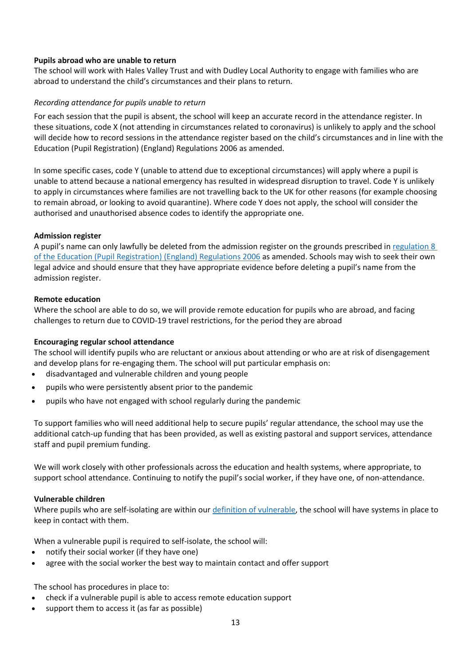### **Pupils abroad who are unable to return**

The school will work with Hales Valley Trust and with Dudley Local Authority to engage with families who are abroad to understand the child's circumstances and their plans to return.

### *Recording attendance for pupils unable to return*

For each session that the pupil is absent, the school will keep an accurate record in the attendance register. In these situations, code X (not attending in circumstances related to coronavirus) is unlikely to apply and the school will decide how to record sessions in the attendance register based on the child's circumstances and in line with the Education (Pupil Registration) (England) Regulations 2006 as amended.

In some specific cases, code Y (unable to attend due to exceptional circumstances) will apply where a pupil is unable to attend because a national emergency has resulted in widespread disruption to travel. Code Y is unlikely to apply in circumstances where families are not travelling back to the UK for other reasons (for example choosing to remain abroad, or looking to avoid quarantine). Where code Y does not apply, the school will consider the authorised and unauthorised absence codes to identify the appropriate one.

### **Admission register**

A pupil's name can only lawfully be deleted from the admission register on the grounds prescribed in [regulation](https://www.legislation.gov.uk/uksi/2006/1751/regulation/8/made) 8 of the Education (Pupil [Registration\)](https://www.legislation.gov.uk/uksi/2006/1751/regulation/8/made) (England) Regulations 2006 as amended. Schools may wish to seek their own legal advice and should ensure that they have appropriate evidence before deleting a pupil's name from the admission register.

### **Remote education**

Where the school are able to do so, we will provide remote education for pupils who are abroad, and facing challenges to return due to COVID-19 travel restrictions, for the period they are abroad

#### **Encouraging regular school attendance**

The school will identify pupils who are reluctant or anxious about attending or who are at risk of disengagement and develop plans for re-engaging them. The school will put particular emphasis on:

- disadvantaged and vulnerable children and young people
- pupils who were persistently absent prior to the pandemic
- pupils who have not engaged with school regularly during the pandemic

To support families who will need additional help to secure pupils' regular attendance, the school may use the additional catch-up funding that has been provided, as well as existing pastoral and support services, attendance staff and pupil premium funding.

We will work closely with other professionals across the education and health systems, where appropriate, to support school attendance. Continuing to notify the pupil's social worker, if they have one, of non-attendance.

#### **Vulnerable children**

Where pupils who are self-isolating are within our definition of [vulnerable,](https://www.gov.uk/government/publications/coronavirus-covid-19-maintaining-educational-provision/guidance-for-schools-colleges-and-local-authorities-on-maintaining-educational-provision#vulnerable-children-and-young-people) the school will have systems in place to keep in contact with them.

When a vulnerable pupil is required to self-isolate, the school will:

- notify their social worker (if they have one)
- agree with the social worker the best way to maintain contact and offer support

The school has procedures in place to:

- check if a vulnerable pupil is able to access remote education support
- support them to access it (as far as possible)